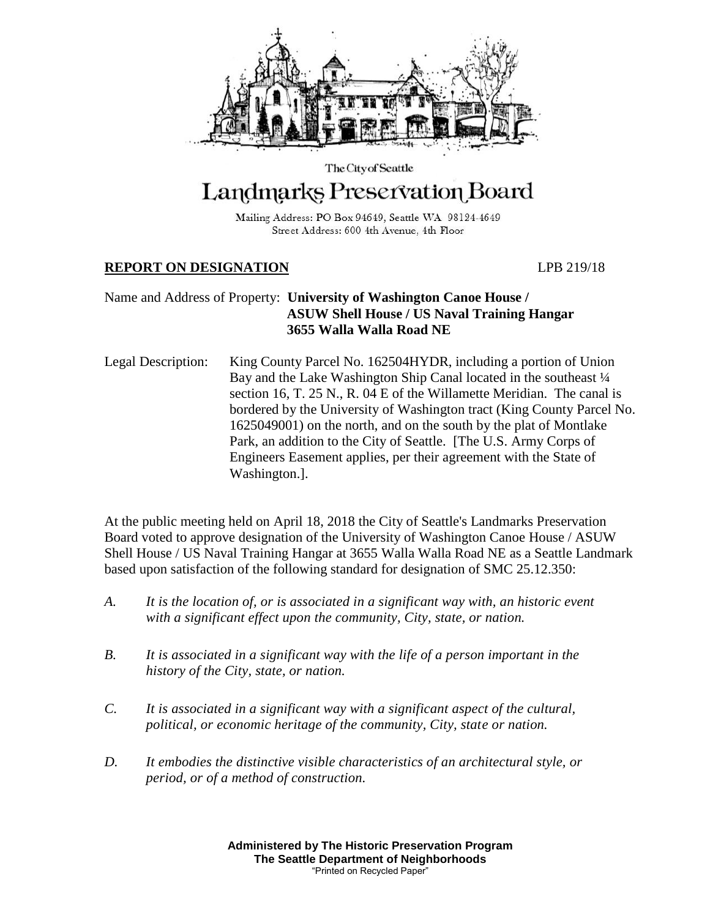

# The City of Seattle Landmarks Preservation Board

Mailing Address: PO Box 94649, Seattle WA 98124-4649 Street Address: 600 4th Avenue, 4th Floor

# **REPORT ON DESIGNATION** LPB 219/18

# Name and Address of Property: **University of Washington Canoe House / ASUW Shell House / US Naval Training Hangar 3655 Walla Walla Road NE**

Legal Description: King County Parcel No. 162504HYDR, including a portion of Union Bay and the Lake Washington Ship Canal located in the southeast  $\frac{1}{4}$ section 16, T. 25 N., R. 04 E of the Willamette Meridian. The canal is bordered by the University of Washington tract (King County Parcel No. 1625049001) on the north, and on the south by the plat of Montlake Park, an addition to the City of Seattle. [The U.S. Army Corps of Engineers Easement applies, per their agreement with the State of Washington.].

At the public meeting held on April 18, 2018 the City of Seattle's Landmarks Preservation Board voted to approve designation of the University of Washington Canoe House / ASUW Shell House / US Naval Training Hangar at 3655 Walla Walla Road NE as a Seattle Landmark based upon satisfaction of the following standard for designation of SMC 25.12.350:

- *A. It is the location of, or is associated in a significant way with, an historic event with a significant effect upon the community, City, state, or nation.*
- *B. It is associated in a significant way with the life of a person important in the history of the City, state, or nation.*
- *C. It is associated in a significant way with a significant aspect of the cultural, political, or economic heritage of the community, City, state or nation.*
- *D. It embodies the distinctive visible characteristics of an architectural style, or period, or of a method of construction.*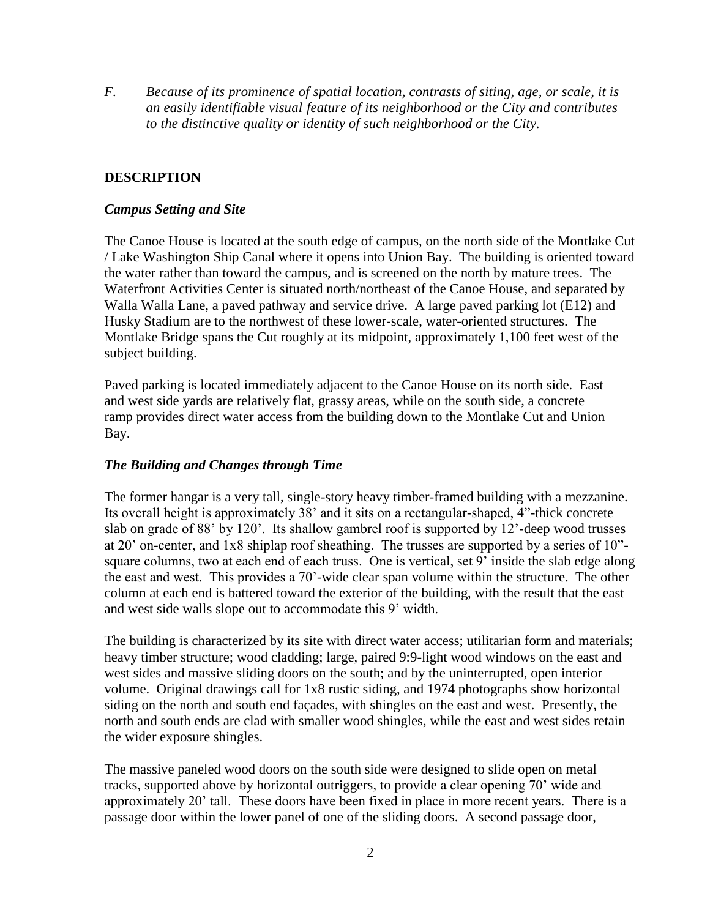*F. Because of its prominence of spatial location, contrasts of siting, age, or scale, it is an easily identifiable visual feature of its neighborhood or the City and contributes to the distinctive quality or identity of such neighborhood or the City.* 

## **DESCRIPTION**

### *Campus Setting and Site*

The Canoe House is located at the south edge of campus, on the north side of the Montlake Cut / Lake Washington Ship Canal where it opens into Union Bay. The building is oriented toward the water rather than toward the campus, and is screened on the north by mature trees. The Waterfront Activities Center is situated north/northeast of the Canoe House, and separated by Walla Walla Lane, a paved pathway and service drive. A large paved parking lot (E12) and Husky Stadium are to the northwest of these lower-scale, water-oriented structures. The Montlake Bridge spans the Cut roughly at its midpoint, approximately 1,100 feet west of the subject building.

Paved parking is located immediately adjacent to the Canoe House on its north side. East and west side yards are relatively flat, grassy areas, while on the south side, a concrete ramp provides direct water access from the building down to the Montlake Cut and Union Bay.

## *The Building and Changes through Time*

The former hangar is a very tall, single-story heavy timber-framed building with a mezzanine. Its overall height is approximately 38' and it sits on a rectangular-shaped, 4"-thick concrete slab on grade of 88' by 120'. Its shallow gambrel roof is supported by 12'-deep wood trusses at 20' on-center, and 1x8 shiplap roof sheathing. The trusses are supported by a series of 10" square columns, two at each end of each truss. One is vertical, set 9' inside the slab edge along the east and west. This provides a 70'-wide clear span volume within the structure. The other column at each end is battered toward the exterior of the building, with the result that the east and west side walls slope out to accommodate this 9' width.

The building is characterized by its site with direct water access; utilitarian form and materials; heavy timber structure; wood cladding; large, paired 9:9-light wood windows on the east and west sides and massive sliding doors on the south; and by the uninterrupted, open interior volume. Original drawings call for 1x8 rustic siding, and 1974 photographs show horizontal siding on the north and south end façades, with shingles on the east and west. Presently, the north and south ends are clad with smaller wood shingles, while the east and west sides retain the wider exposure shingles.

The massive paneled wood doors on the south side were designed to slide open on metal tracks, supported above by horizontal outriggers, to provide a clear opening 70' wide and approximately 20' tall. These doors have been fixed in place in more recent years. There is a passage door within the lower panel of one of the sliding doors. A second passage door,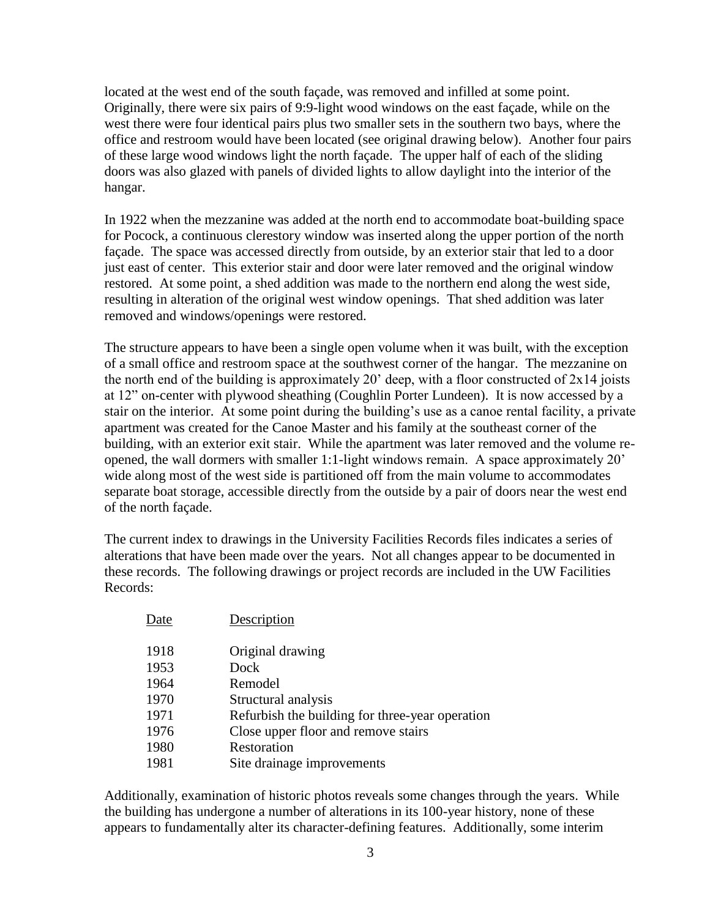located at the west end of the south façade, was removed and infilled at some point. Originally, there were six pairs of 9:9-light wood windows on the east façade, while on the west there were four identical pairs plus two smaller sets in the southern two bays, where the office and restroom would have been located (see original drawing below). Another four pairs of these large wood windows light the north façade. The upper half of each of the sliding doors was also glazed with panels of divided lights to allow daylight into the interior of the hangar.

In 1922 when the mezzanine was added at the north end to accommodate boat-building space for Pocock, a continuous clerestory window was inserted along the upper portion of the north façade. The space was accessed directly from outside, by an exterior stair that led to a door just east of center. This exterior stair and door were later removed and the original window restored. At some point, a shed addition was made to the northern end along the west side, resulting in alteration of the original west window openings. That shed addition was later removed and windows/openings were restored.

The structure appears to have been a single open volume when it was built, with the exception of a small office and restroom space at the southwest corner of the hangar. The mezzanine on the north end of the building is approximately 20' deep, with a floor constructed of  $2x14$  joists at 12" on-center with plywood sheathing (Coughlin Porter Lundeen). It is now accessed by a stair on the interior. At some point during the building's use as a canoe rental facility, a private apartment was created for the Canoe Master and his family at the southeast corner of the building, with an exterior exit stair. While the apartment was later removed and the volume reopened, the wall dormers with smaller 1:1-light windows remain. A space approximately 20' wide along most of the west side is partitioned off from the main volume to accommodates separate boat storage, accessible directly from the outside by a pair of doors near the west end of the north façade.

The current index to drawings in the University Facilities Records files indicates a series of alterations that have been made over the years. Not all changes appear to be documented in these records. The following drawings or project records are included in the UW Facilities Records:

| Date | Description                                     |
|------|-------------------------------------------------|
| 1918 | Original drawing                                |
| 1953 | Dock                                            |
| 1964 | Remodel                                         |
| 1970 | Structural analysis                             |
| 1971 | Refurbish the building for three-year operation |
| 1976 | Close upper floor and remove stairs             |
| 1980 | Restoration                                     |
| 1981 | Site drainage improvements                      |

Additionally, examination of historic photos reveals some changes through the years. While the building has undergone a number of alterations in its 100-year history, none of these appears to fundamentally alter its character-defining features. Additionally, some interim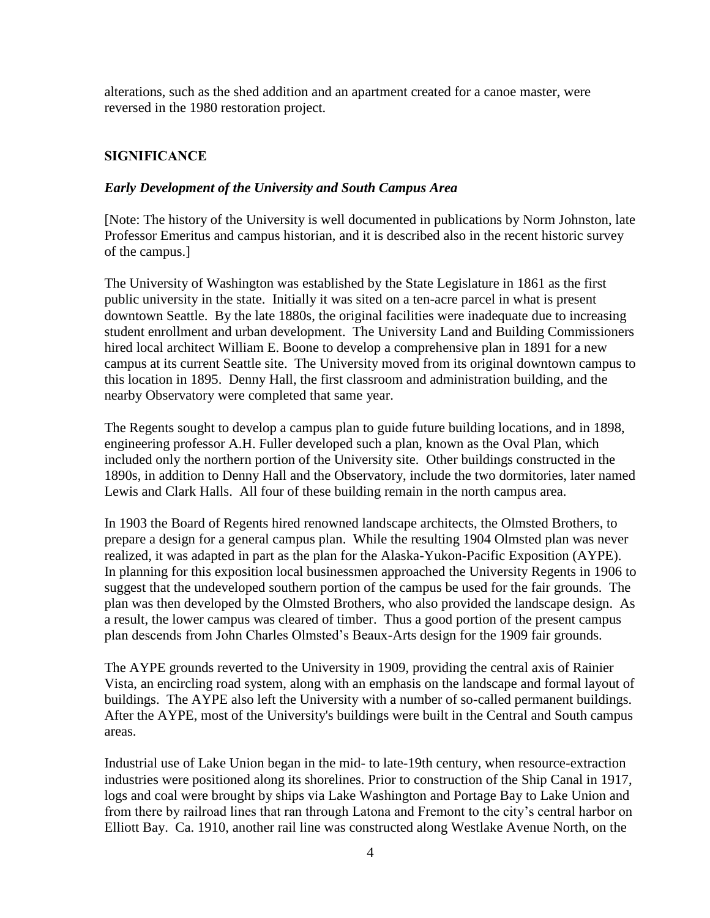alterations, such as the shed addition and an apartment created for a canoe master, were reversed in the 1980 restoration project.

# **SIGNIFICANCE**

### *Early Development of the University and South Campus Area*

[Note: The history of the University is well documented in publications by Norm Johnston, late Professor Emeritus and campus historian, and it is described also in the recent historic survey of the campus.]

The University of Washington was established by the State Legislature in 1861 as the first public university in the state. Initially it was sited on a ten-acre parcel in what is present downtown Seattle. By the late 1880s, the original facilities were inadequate due to increasing student enrollment and urban development. The University Land and Building Commissioners hired local architect William E. Boone to develop a comprehensive plan in 1891 for a new campus at its current Seattle site. The University moved from its original downtown campus to this location in 1895. Denny Hall, the first classroom and administration building, and the nearby Observatory were completed that same year.

The Regents sought to develop a campus plan to guide future building locations, and in 1898, engineering professor A.H. Fuller developed such a plan, known as the Oval Plan, which included only the northern portion of the University site. Other buildings constructed in the 1890s, in addition to Denny Hall and the Observatory, include the two dormitories, later named Lewis and Clark Halls. All four of these building remain in the north campus area.

In 1903 the Board of Regents hired renowned landscape architects, the Olmsted Brothers, to prepare a design for a general campus plan. While the resulting 1904 Olmsted plan was never realized, it was adapted in part as the plan for the Alaska-Yukon-Pacific Exposition (AYPE). In planning for this exposition local businessmen approached the University Regents in 1906 to suggest that the undeveloped southern portion of the campus be used for the fair grounds. The plan was then developed by the Olmsted Brothers, who also provided the landscape design. As a result, the lower campus was cleared of timber. Thus a good portion of the present campus plan descends from John Charles Olmsted's Beaux-Arts design for the 1909 fair grounds.

The AYPE grounds reverted to the University in 1909, providing the central axis of Rainier Vista, an encircling road system, along with an emphasis on the landscape and formal layout of buildings. The AYPE also left the University with a number of so-called permanent buildings. After the AYPE, most of the University's buildings were built in the Central and South campus areas.

Industrial use of Lake Union began in the mid- to late-19th century, when resource-extraction industries were positioned along its shorelines. Prior to construction of the Ship Canal in 1917, logs and coal were brought by ships via Lake Washington and Portage Bay to Lake Union and from there by railroad lines that ran through Latona and Fremont to the city's central harbor on Elliott Bay. Ca. 1910, another rail line was constructed along Westlake Avenue North, on the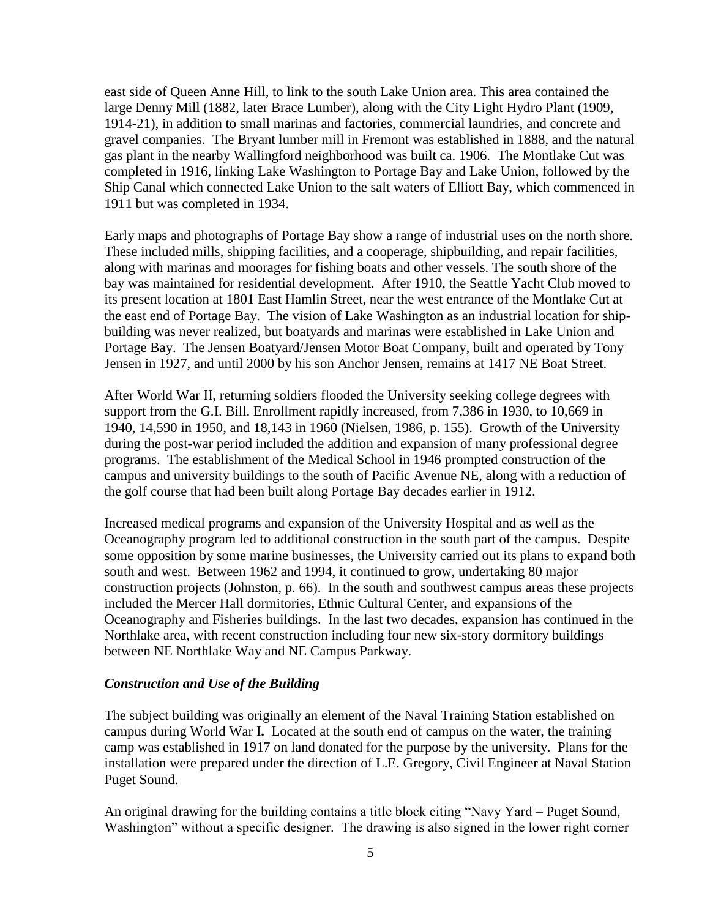east side of Queen Anne Hill, to link to the south Lake Union area. This area contained the large Denny Mill (1882, later Brace Lumber), along with the City Light Hydro Plant (1909, 1914-21), in addition to small marinas and factories, commercial laundries, and concrete and gravel companies. The Bryant lumber mill in Fremont was established in 1888, and the natural gas plant in the nearby Wallingford neighborhood was built ca. 1906. The Montlake Cut was completed in 1916, linking Lake Washington to Portage Bay and Lake Union, followed by the Ship Canal which connected Lake Union to the salt waters of Elliott Bay, which commenced in 1911 but was completed in 1934.

Early maps and photographs of Portage Bay show a range of industrial uses on the north shore. These included mills, shipping facilities, and a cooperage, shipbuilding, and repair facilities, along with marinas and moorages for fishing boats and other vessels. The south shore of the bay was maintained for residential development. After 1910, the Seattle Yacht Club moved to its present location at 1801 East Hamlin Street, near the west entrance of the Montlake Cut at the east end of Portage Bay. The vision of Lake Washington as an industrial location for shipbuilding was never realized, but boatyards and marinas were established in Lake Union and Portage Bay. The Jensen Boatyard/Jensen Motor Boat Company, built and operated by Tony Jensen in 1927, and until 2000 by his son Anchor Jensen, remains at 1417 NE Boat Street.

After World War II, returning soldiers flooded the University seeking college degrees with support from the G.I. Bill. Enrollment rapidly increased, from 7,386 in 1930, to 10,669 in 1940, 14,590 in 1950, and 18,143 in 1960 (Nielsen, 1986, p. 155). Growth of the University during the post-war period included the addition and expansion of many professional degree programs. The establishment of the Medical School in 1946 prompted construction of the campus and university buildings to the south of Pacific Avenue NE, along with a reduction of the golf course that had been built along Portage Bay decades earlier in 1912.

Increased medical programs and expansion of the University Hospital and as well as the Oceanography program led to additional construction in the south part of the campus. Despite some opposition by some marine businesses, the University carried out its plans to expand both south and west. Between 1962 and 1994, it continued to grow, undertaking 80 major construction projects (Johnston, p. 66). In the south and southwest campus areas these projects included the Mercer Hall dormitories, Ethnic Cultural Center, and expansions of the Oceanography and Fisheries buildings. In the last two decades, expansion has continued in the Northlake area, with recent construction including four new six-story dormitory buildings between NE Northlake Way and NE Campus Parkway.

#### *Construction and Use of the Building*

The subject building was originally an element of the Naval Training Station established on campus during World War I**.** Located at the south end of campus on the water, the training camp was established in 1917 on land donated for the purpose by the university. Plans for the installation were prepared under the direction of L.E. Gregory, Civil Engineer at Naval Station Puget Sound.

An original drawing for the building contains a title block citing "Navy Yard – Puget Sound, Washington" without a specific designer. The drawing is also signed in the lower right corner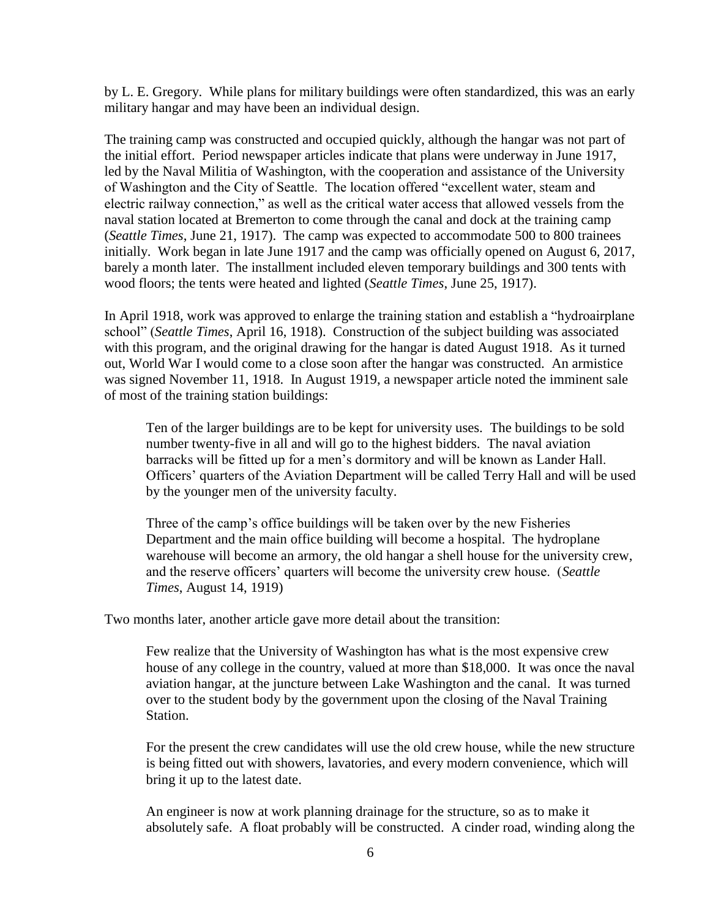by L. E. Gregory. While plans for military buildings were often standardized, this was an early military hangar and may have been an individual design.

The training camp was constructed and occupied quickly, although the hangar was not part of the initial effort. Period newspaper articles indicate that plans were underway in June 1917, led by the Naval Militia of Washington, with the cooperation and assistance of the University of Washington and the City of Seattle. The location offered "excellent water, steam and electric railway connection," as well as the critical water access that allowed vessels from the naval station located at Bremerton to come through the canal and dock at the training camp (*Seattle Times*, June 21, 1917). The camp was expected to accommodate 500 to 800 trainees initially. Work began in late June 1917 and the camp was officially opened on August 6, 2017, barely a month later. The installment included eleven temporary buildings and 300 tents with wood floors; the tents were heated and lighted (*Seattle Times*, June 25, 1917).

In April 1918, work was approved to enlarge the training station and establish a "hydroairplane school" (*Seattle Times*, April 16, 1918). Construction of the subject building was associated with this program, and the original drawing for the hangar is dated August 1918. As it turned out, World War I would come to a close soon after the hangar was constructed. An armistice was signed November 11, 1918. In August 1919, a newspaper article noted the imminent sale of most of the training station buildings:

Ten of the larger buildings are to be kept for university uses. The buildings to be sold number twenty-five in all and will go to the highest bidders. The naval aviation barracks will be fitted up for a men's dormitory and will be known as Lander Hall. Officers' quarters of the Aviation Department will be called Terry Hall and will be used by the younger men of the university faculty.

Three of the camp's office buildings will be taken over by the new Fisheries Department and the main office building will become a hospital. The hydroplane warehouse will become an armory, the old hangar a shell house for the university crew, and the reserve officers' quarters will become the university crew house. (*Seattle Times*, August 14, 1919)

Two months later, another article gave more detail about the transition:

Few realize that the University of Washington has what is the most expensive crew house of any college in the country, valued at more than \$18,000. It was once the naval aviation hangar, at the juncture between Lake Washington and the canal. It was turned over to the student body by the government upon the closing of the Naval Training Station.

For the present the crew candidates will use the old crew house, while the new structure is being fitted out with showers, lavatories, and every modern convenience, which will bring it up to the latest date.

An engineer is now at work planning drainage for the structure, so as to make it absolutely safe. A float probably will be constructed. A cinder road, winding along the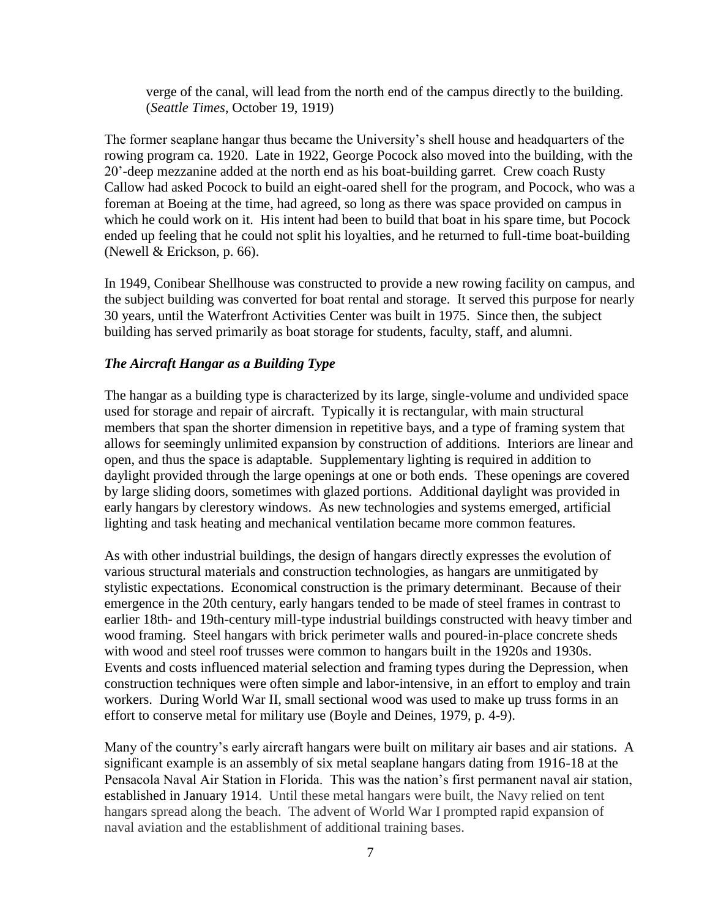verge of the canal, will lead from the north end of the campus directly to the building. (*Seattle Times*, October 19, 1919)

The former seaplane hangar thus became the University's shell house and headquarters of the rowing program ca. 1920. Late in 1922, George Pocock also moved into the building, with the 20'-deep mezzanine added at the north end as his boat-building garret. Crew coach Rusty Callow had asked Pocock to build an eight-oared shell for the program, and Pocock, who was a foreman at Boeing at the time, had agreed, so long as there was space provided on campus in which he could work on it. His intent had been to build that boat in his spare time, but Pocock ended up feeling that he could not split his loyalties, and he returned to full-time boat-building (Newell & Erickson, p. 66).

In 1949, Conibear Shellhouse was constructed to provide a new rowing facility on campus, and the subject building was converted for boat rental and storage. It served this purpose for nearly 30 years, until the Waterfront Activities Center was built in 1975. Since then, the subject building has served primarily as boat storage for students, faculty, staff, and alumni.

## *The Aircraft Hangar as a Building Type*

The hangar as a building type is characterized by its large, single-volume and undivided space used for storage and repair of aircraft. Typically it is rectangular, with main structural members that span the shorter dimension in repetitive bays, and a type of framing system that allows for seemingly unlimited expansion by construction of additions. Interiors are linear and open, and thus the space is adaptable. Supplementary lighting is required in addition to daylight provided through the large openings at one or both ends. These openings are covered by large sliding doors, sometimes with glazed portions. Additional daylight was provided in early hangars by clerestory windows. As new technologies and systems emerged, artificial lighting and task heating and mechanical ventilation became more common features.

As with other industrial buildings, the design of hangars directly expresses the evolution of various structural materials and construction technologies, as hangars are unmitigated by stylistic expectations. Economical construction is the primary determinant. Because of their emergence in the 20th century, early hangars tended to be made of steel frames in contrast to earlier 18th- and 19th-century mill-type industrial buildings constructed with heavy timber and wood framing. Steel hangars with brick perimeter walls and poured-in-place concrete sheds with wood and steel roof trusses were common to hangars built in the 1920s and 1930s. Events and costs influenced material selection and framing types during the Depression, when construction techniques were often simple and labor-intensive, in an effort to employ and train workers. During World War II, small sectional wood was used to make up truss forms in an effort to conserve metal for military use (Boyle and Deines, 1979, p. 4-9).

Many of the country's early aircraft hangars were built on military air bases and air stations. A significant example is an assembly of six metal seaplane hangars dating from 1916-18 at the Pensacola Naval Air Station in Florida. This was the nation's first permanent naval air station, established in January 1914. Until these metal hangars were built, the Navy relied on tent hangars spread along the beach. The advent of World War I prompted rapid expansion of naval aviation and the establishment of additional training bases.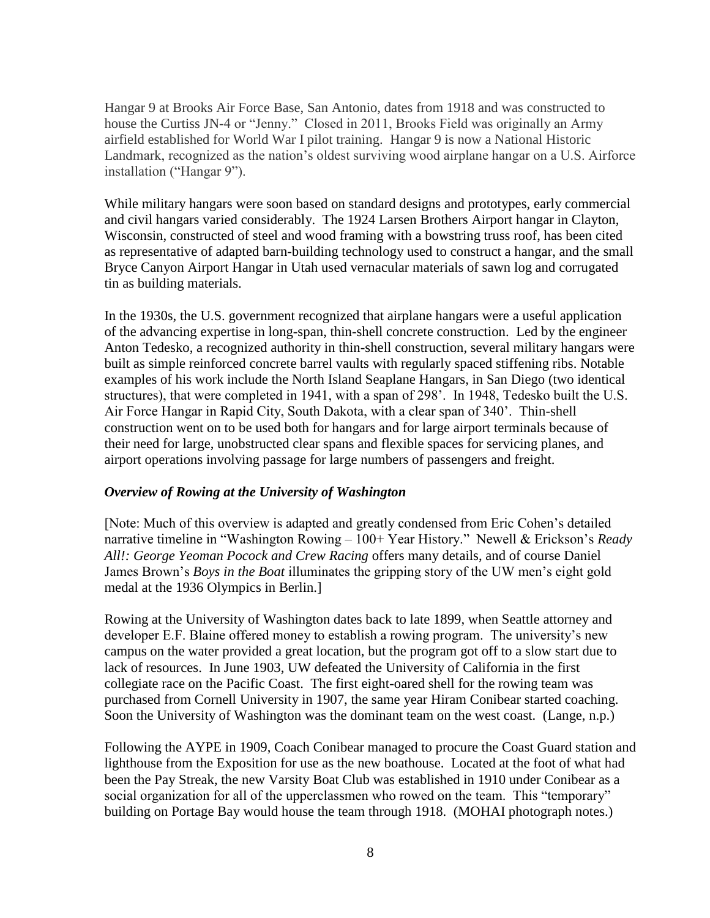Hangar 9 at Brooks Air Force Base, San Antonio, dates from 1918 and was constructed to house the Curtiss JN-4 or "Jenny." Closed in 2011, Brooks Field was originally an Army airfield established for World War I pilot training. Hangar 9 is now a National Historic Landmark, recognized as the nation's oldest surviving wood airplane hangar on a U.S. Airforce installation ("Hangar 9").

While military hangars were soon based on standard designs and prototypes, early commercial and civil hangars varied considerably. The 1924 Larsen Brothers Airport hangar in Clayton, Wisconsin, constructed of steel and wood framing with a bowstring truss roof, has been cited as representative of adapted barn-building technology used to construct a hangar, and the small Bryce Canyon Airport Hangar in Utah used vernacular materials of sawn log and corrugated tin as building materials.

In the 1930s, the U.S. government recognized that airplane hangars were a useful application of the advancing expertise in long-span, thin-shell concrete construction. Led by the engineer Anton Tedesko, a recognized authority in thin-shell construction, several military hangars were built as simple reinforced concrete barrel vaults with regularly spaced stiffening ribs. Notable examples of his work include the North Island Seaplane Hangars, in San Diego (two identical structures), that were completed in 1941, with a span of 298'. In 1948, Tedesko built the U.S. Air Force Hangar in Rapid City, South Dakota, with a clear span of 340'. Thin-shell construction went on to be used both for hangars and for large airport terminals because of their need for large, unobstructed clear spans and flexible spaces for servicing planes, and airport operations involving passage for large numbers of passengers and freight.

#### *Overview of Rowing at the University of Washington*

[Note: Much of this overview is adapted and greatly condensed from Eric Cohen's detailed narrative timeline in "Washington Rowing – 100+ Year History." Newell & Erickson's *Ready All!: George Yeoman Pocock and Crew Racing* offers many details, and of course Daniel James Brown's *Boys in the Boat* illuminates the gripping story of the UW men's eight gold medal at the 1936 Olympics in Berlin.]

Rowing at the University of Washington dates back to late 1899, when Seattle attorney and developer E.F. Blaine offered money to establish a rowing program. The university's new campus on the water provided a great location, but the program got off to a slow start due to lack of resources. In June 1903, UW defeated the University of California in the first collegiate race on the Pacific Coast. The first eight-oared shell for the rowing team was purchased from Cornell University in 1907, the same year Hiram Conibear started coaching. Soon the University of Washington was the dominant team on the west coast. (Lange, n.p.)

Following the AYPE in 1909, Coach Conibear managed to procure the Coast Guard station and lighthouse from the Exposition for use as the new boathouse. Located at the foot of what had been the Pay Streak, the new Varsity Boat Club was established in 1910 under Conibear as a social organization for all of the upperclassmen who rowed on the team. This "temporary" building on Portage Bay would house the team through 1918. (MOHAI photograph notes.)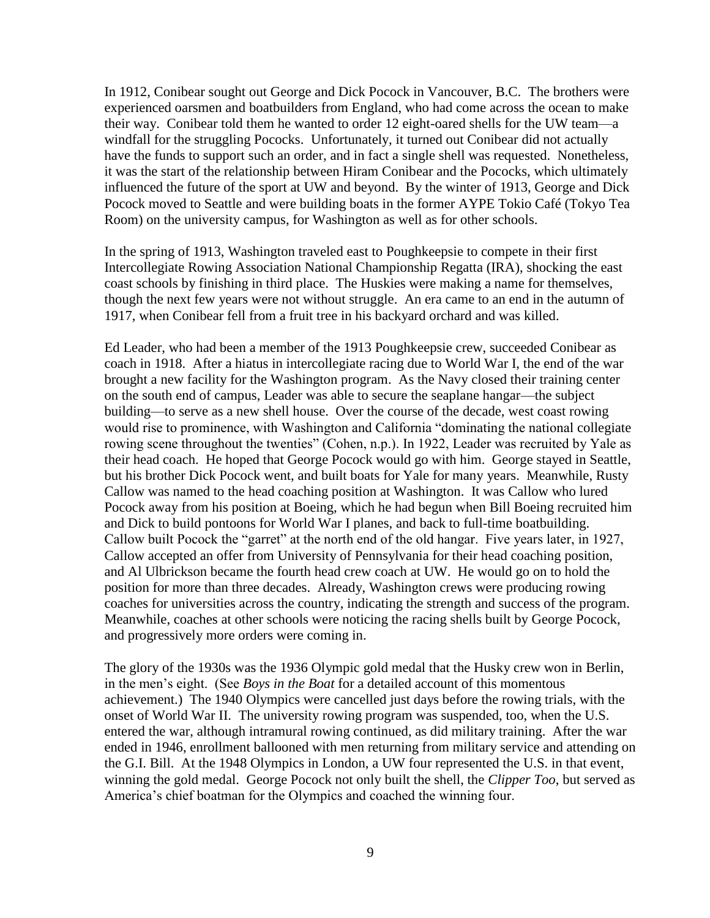In 1912, Conibear sought out George and Dick Pocock in Vancouver, B.C. The brothers were experienced oarsmen and boatbuilders from England, who had come across the ocean to make their way. Conibear told them he wanted to order 12 eight-oared shells for the UW team—a windfall for the struggling Pococks. Unfortunately, it turned out Conibear did not actually have the funds to support such an order, and in fact a single shell was requested. Nonetheless, it was the start of the relationship between Hiram Conibear and the Pococks, which ultimately influenced the future of the sport at UW and beyond. By the winter of 1913, George and Dick Pocock moved to Seattle and were building boats in the former AYPE Tokio Café (Tokyo Tea Room) on the university campus, for Washington as well as for other schools.

In the spring of 1913, Washington traveled east to Poughkeepsie to compete in their first Intercollegiate Rowing Association National Championship Regatta (IRA), shocking the east coast schools by finishing in third place. The Huskies were making a name for themselves, though the next few years were not without struggle. An era came to an end in the autumn of 1917, when Conibear fell from a fruit tree in his backyard orchard and was killed.

Ed Leader, who had been a member of the 1913 Poughkeepsie crew, succeeded Conibear as coach in 1918. After a hiatus in intercollegiate racing due to World War I, the end of the war brought a new facility for the Washington program. As the Navy closed their training center on the south end of campus, Leader was able to secure the seaplane hangar—the subject building—to serve as a new shell house. Over the course of the decade, west coast rowing would rise to prominence, with Washington and California "dominating the national collegiate rowing scene throughout the twenties" (Cohen, n.p.). In 1922, Leader was recruited by Yale as their head coach. He hoped that George Pocock would go with him. George stayed in Seattle, but his brother Dick Pocock went, and built boats for Yale for many years. Meanwhile, Rusty Callow was named to the head coaching position at Washington. It was Callow who lured Pocock away from his position at Boeing, which he had begun when Bill Boeing recruited him and Dick to build pontoons for World War I planes, and back to full-time boatbuilding. Callow built Pocock the "garret" at the north end of the old hangar. Five years later, in 1927, Callow accepted an offer from University of Pennsylvania for their head coaching position, and Al Ulbrickson became the fourth head crew coach at UW. He would go on to hold the position for more than three decades. Already, Washington crews were producing rowing coaches for universities across the country, indicating the strength and success of the program. Meanwhile, coaches at other schools were noticing the racing shells built by George Pocock, and progressively more orders were coming in.

The glory of the 1930s was the 1936 Olympic gold medal that the Husky crew won in Berlin, in the men's eight. (See *Boys in the Boat* for a detailed account of this momentous achievement.) The 1940 Olympics were cancelled just days before the rowing trials, with the onset of World War II. The university rowing program was suspended, too, when the U.S. entered the war, although intramural rowing continued, as did military training. After the war ended in 1946, enrollment ballooned with men returning from military service and attending on the G.I. Bill. At the 1948 Olympics in London, a UW four represented the U.S. in that event, winning the gold medal. George Pocock not only built the shell, the *Clipper Too*, but served as America's chief boatman for the Olympics and coached the winning four.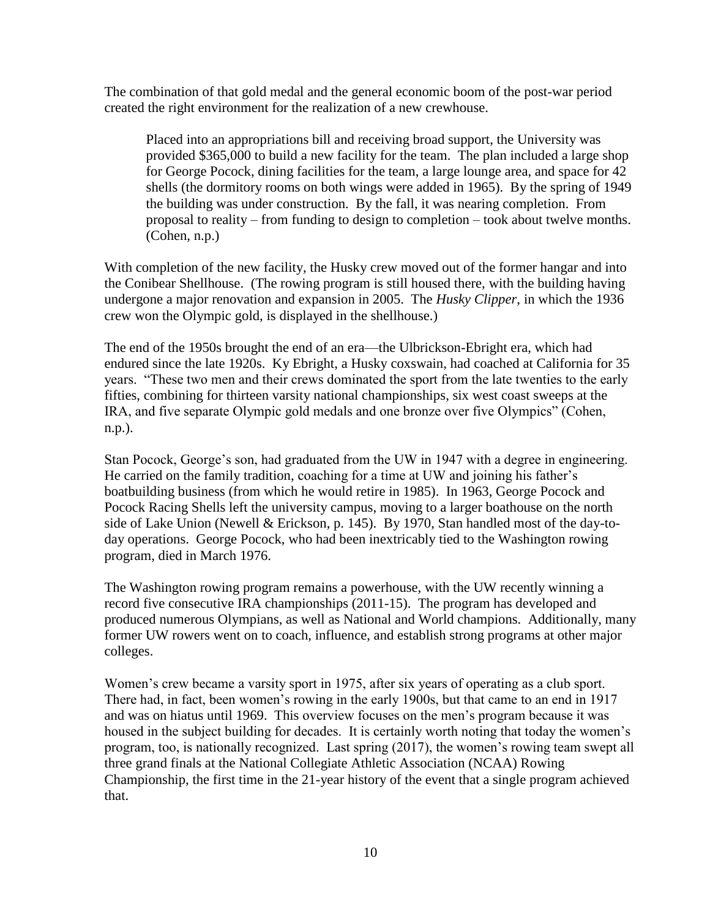The combination of that gold medal and the general economic boom of the post-war period created the right environment for the realization of a new crewhouse.

Placed into an appropriations bill and receiving broad support, the University was provided \$365,000 to build a new facility for the team. The plan included a large shop for George Pocock, dining facilities for the team, a large lounge area, and space for 42 shells (the dormitory rooms on both wings were added in 1965). By the spring of 1949 the building was under construction. By the fall, it was nearing completion. From proposal to reality – from funding to design to completion – took about twelve months. (Cohen, n.p.)

With completion of the new facility, the Husky crew moved out of the former hangar and into the Conibear Shellhouse. (The rowing program is still housed there, with the building having undergone a major renovation and expansion in 2005. The *Husky Clipper*, in which the 1936 crew won the Olympic gold, is displayed in the shellhouse.)

The end of the 1950s brought the end of an era—the Ulbrickson-Ebright era, which had endured since the late 1920s. Ky Ebright, a Husky coxswain, had coached at California for 35 years. "These two men and their crews dominated the sport from the late twenties to the early fifties, combining for thirteen varsity national championships, six west coast sweeps at the IRA, and five separate Olympic gold medals and one bronze over five Olympics" (Cohen, n.p.).

Stan Pocock, George's son, had graduated from the UW in 1947 with a degree in engineering. He carried on the family tradition, coaching for a time at UW and joining his father's boatbuilding business (from which he would retire in 1985). In 1963, George Pocock and Pocock Racing Shells left the university campus, moving to a larger boathouse on the north side of Lake Union (Newell & Erickson, p. 145). By 1970, Stan handled most of the day-today operations. George Pocock, who had been inextricably tied to the Washington rowing program, died in March 1976.

The Washington rowing program remains a powerhouse, with the UW recently winning a record five consecutive IRA championships (2011-15). The program has developed and produced numerous Olympians, as well as National and World champions. Additionally, many former UW rowers went on to coach, influence, and establish strong programs at other major colleges.

Women's crew became a varsity sport in 1975, after six years of operating as a club sport. There had, in fact, been women's rowing in the early 1900s, but that came to an end in 1917 and was on hiatus until 1969. This overview focuses on the men's program because it was housed in the subject building for decades. It is certainly worth noting that today the women's program, too, is nationally recognized. Last spring (2017), the women's rowing team swept all three grand finals at the National Collegiate Athletic Association (NCAA) Rowing Championship, the first time in the 21-year history of the event that a single program achieved that.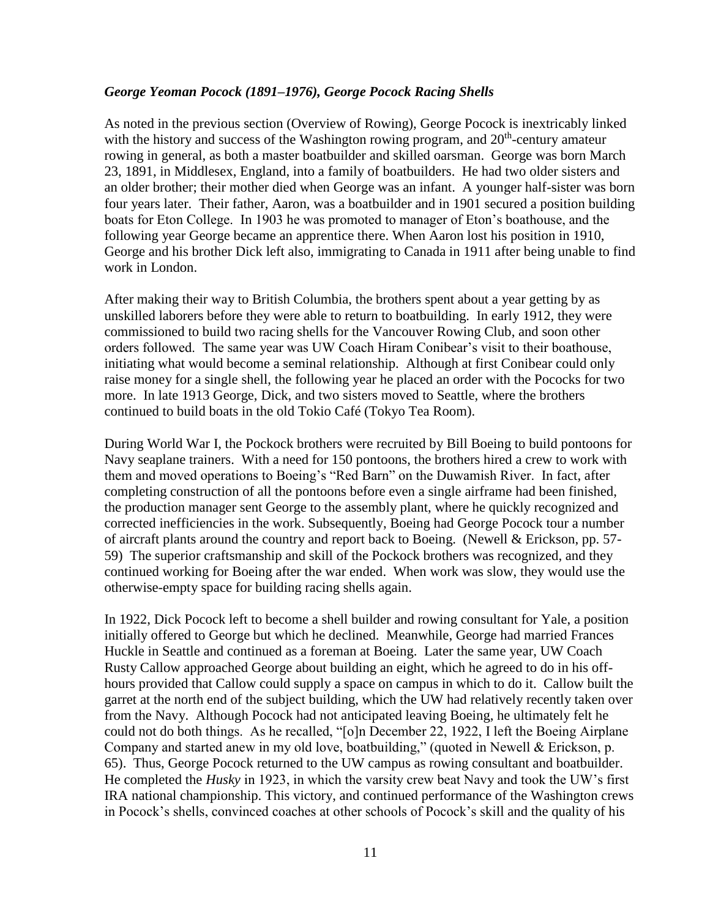#### *George Yeoman Pocock (1891–1976), George Pocock Racing Shells*

As noted in the previous section (Overview of Rowing), George Pocock is inextricably linked with the history and success of the Washington rowing program, and  $20<sup>th</sup>$ -century amateur rowing in general, as both a master boatbuilder and skilled oarsman. George was born March 23, 1891, in Middlesex, England, into a family of boatbuilders. He had two older sisters and an older brother; their mother died when George was an infant. A younger half-sister was born four years later. Their father, Aaron, was a boatbuilder and in 1901 secured a position building boats for Eton College. In 1903 he was promoted to manager of Eton's boathouse, and the following year George became an apprentice there. When Aaron lost his position in 1910, George and his brother Dick left also, immigrating to Canada in 1911 after being unable to find work in London.

After making their way to British Columbia, the brothers spent about a year getting by as unskilled laborers before they were able to return to boatbuilding. In early 1912, they were commissioned to build two racing shells for the Vancouver Rowing Club, and soon other orders followed. The same year was UW Coach Hiram Conibear's visit to their boathouse, initiating what would become a seminal relationship. Although at first Conibear could only raise money for a single shell, the following year he placed an order with the Pococks for two more. In late 1913 George, Dick, and two sisters moved to Seattle, where the brothers continued to build boats in the old Tokio Café (Tokyo Tea Room).

During World War I, the Pockock brothers were recruited by Bill Boeing to build pontoons for Navy seaplane trainers. With a need for 150 pontoons, the brothers hired a crew to work with them and moved operations to Boeing's "Red Barn" on the Duwamish River. In fact, after completing construction of all the pontoons before even a single airframe had been finished, the production manager sent George to the assembly plant, where he quickly recognized and corrected inefficiencies in the work. Subsequently, Boeing had George Pocock tour a number of aircraft plants around the country and report back to Boeing. (Newell & Erickson, pp. 57- 59) The superior craftsmanship and skill of the Pockock brothers was recognized, and they continued working for Boeing after the war ended. When work was slow, they would use the otherwise-empty space for building racing shells again.

In 1922, Dick Pocock left to become a shell builder and rowing consultant for Yale, a position initially offered to George but which he declined. Meanwhile, George had married Frances Huckle in Seattle and continued as a foreman at Boeing. Later the same year, UW Coach Rusty Callow approached George about building an eight, which he agreed to do in his offhours provided that Callow could supply a space on campus in which to do it. Callow built the garret at the north end of the subject building, which the UW had relatively recently taken over from the Navy. Although Pocock had not anticipated leaving Boeing, he ultimately felt he could not do both things. As he recalled, "[o]n December 22, 1922, I left the Boeing Airplane Company and started anew in my old love, boatbuilding," (quoted in Newell & Erickson, p. 65). Thus, George Pocock returned to the UW campus as rowing consultant and boatbuilder. He completed the *Husky* in 1923, in which the varsity crew beat Navy and took the UW's first IRA national championship. This victory, and continued performance of the Washington crews in Pocock's shells, convinced coaches at other schools of Pocock's skill and the quality of his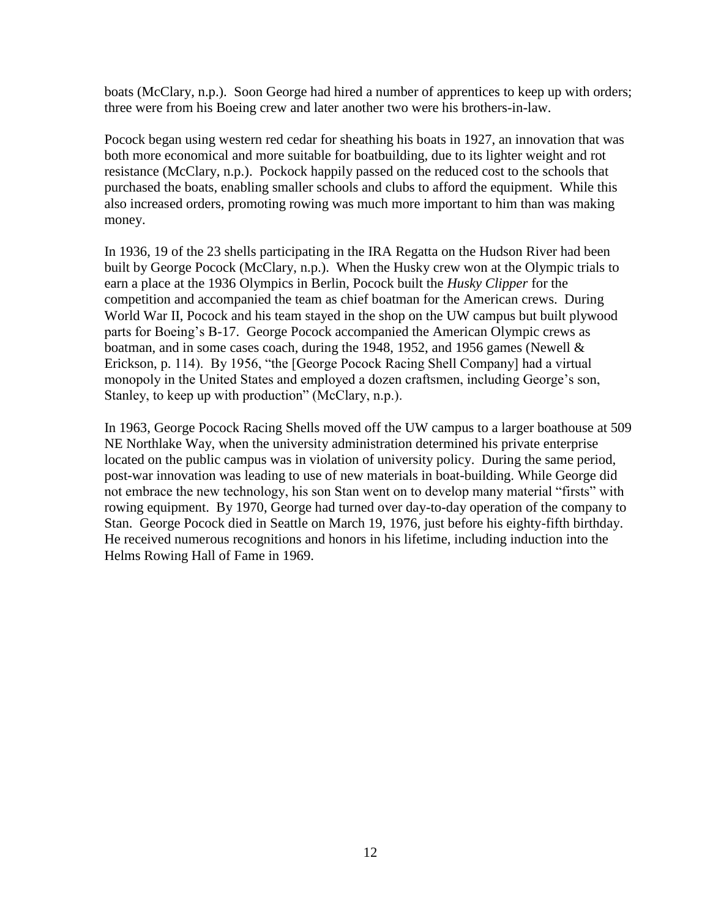boats (McClary, n.p.). Soon George had hired a number of apprentices to keep up with orders; three were from his Boeing crew and later another two were his brothers-in-law.

Pocock began using western red cedar for sheathing his boats in 1927, an innovation that was both more economical and more suitable for boatbuilding, due to its lighter weight and rot resistance (McClary, n.p.). Pockock happily passed on the reduced cost to the schools that purchased the boats, enabling smaller schools and clubs to afford the equipment. While this also increased orders, promoting rowing was much more important to him than was making money.

In 1936, 19 of the 23 shells participating in the IRA Regatta on the Hudson River had been built by George Pocock (McClary, n.p.). When the Husky crew won at the Olympic trials to earn a place at the 1936 Olympics in Berlin, Pocock built the *Husky Clipper* for the competition and accompanied the team as chief boatman for the American crews. During World War II, Pocock and his team stayed in the shop on the UW campus but built plywood parts for Boeing's B-17. George Pocock accompanied the American Olympic crews as boatman, and in some cases coach, during the 1948, 1952, and 1956 games (Newell & Erickson, p. 114). By 1956, "the [George Pocock Racing Shell Company] had a virtual monopoly in the United States and employed a dozen craftsmen, including George's son, Stanley, to keep up with production" (McClary, n.p.).

In 1963, George Pocock Racing Shells moved off the UW campus to a larger boathouse at 509 NE Northlake Way, when the university administration determined his private enterprise located on the public campus was in violation of university policy. During the same period, post-war innovation was leading to use of new materials in boat-building. While George did not embrace the new technology, his son Stan went on to develop many material "firsts" with rowing equipment. By 1970, George had turned over day-to-day operation of the company to Stan. George Pocock died in Seattle on March 19, 1976, just before his eighty-fifth birthday. He received numerous recognitions and honors in his lifetime, including induction into the Helms Rowing Hall of Fame in 1969.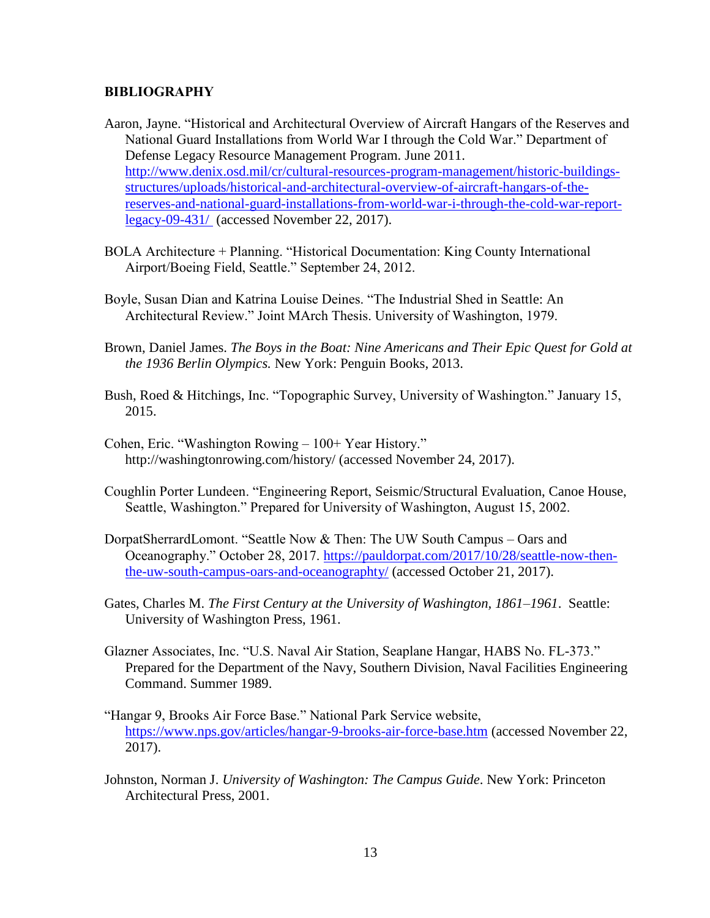#### **BIBLIOGRAPHY**

- Aaron, Jayne. "Historical and Architectural Overview of Aircraft Hangars of the Reserves and National Guard Installations from World War I through the Cold War." Department of Defense Legacy Resource Management Program. June 2011[.](http://www.denix.osd.mil/cr/cultural-resources-program-management/historic-buildings-structures/uploads/historical-and-architectural-overview-of-aircraft-hangars-of-the-reserves-and-national-guard-installations-from-world-war-i-through-the-cold-war-report-legacy-09-431/) [http://www.denix.osd.mil/cr/cultural-resources-program-management/historic-buildings](http://www.denix.osd.mil/cr/cultural-resources-program-management/historic-buildings-structures/uploads/historical-and-architectural-overview-of-aircraft-hangars-of-the-reserves-and-national-guard-installations-from-world-war-i-through-the-cold-war-report-legacy-09-431/)[structures/uploads/historical-and-architectural-overview-of-aircraft-hangars-of-the](http://www.denix.osd.mil/cr/cultural-resources-program-management/historic-buildings-structures/uploads/historical-and-architectural-overview-of-aircraft-hangars-of-the-reserves-and-national-guard-installations-from-world-war-i-through-the-cold-war-report-legacy-09-431/)[reserves-and-national-guard-installations-from-world-war-i-through-the-cold-war-report](http://www.denix.osd.mil/cr/cultural-resources-program-management/historic-buildings-structures/uploads/historical-and-architectural-overview-of-aircraft-hangars-of-the-reserves-and-national-guard-installations-from-world-war-i-through-the-cold-war-report-legacy-09-431/)[legacy-09-431/](http://www.denix.osd.mil/cr/cultural-resources-program-management/historic-buildings-structures/uploads/historical-and-architectural-overview-of-aircraft-hangars-of-the-reserves-and-national-guard-installations-from-world-war-i-through-the-cold-war-report-legacy-09-431/) (accessed November 22, 2017).
- BOLA Architecture + Planning. "Historical Documentation: King County International Airport/Boeing Field, Seattle." September 24, 2012.
- Boyle, Susan Dian and Katrina Louise Deines. "The Industrial Shed in Seattle: An Architectural Review." Joint MArch Thesis. University of Washington, 1979.
- Brown, Daniel James. *The Boys in the Boat: Nine Americans and Their Epic Quest for Gold at the 1936 Berlin Olympics.* New York: Penguin Books, 2013.
- Bush, Roed & Hitchings, Inc. "Topographic Survey, University of Washington." January 15, 2015.
- Cohen, Eric. "Washington Rowing 100+ Year History." http://washingtonrowing.com/history/ (accessed November 24, 2017).
- Coughlin Porter Lundeen. "Engineering Report, Seismic/Structural Evaluation, Canoe House, Seattle, Washington." Prepared for University of Washington, August 15, 2002.
- DorpatSherrardLomont. "Seattle Now & Then: The UW South Campus Oars and Oceanography." October 28, 2017. [https://pauldorpat.com/2017/10/28/seattle-now-then](https://pauldorpat.com/2017/10/28/seattle-now-then-the-uw-south-campus-oars-and-oceanographty/)[the-uw-south-campus-oars-and-oceanographty/](https://pauldorpat.com/2017/10/28/seattle-now-then-the-uw-south-campus-oars-and-oceanographty/) (accessed October 21, 2017).
- Gates, Charles M. *The First Century at the University of Washington, 1861–1961*. Seattle: University of Washington Press, 1961.
- Glazner Associates, Inc. "U.S. Naval Air Station, Seaplane Hangar, HABS No. FL-373." Prepared for the Department of the Navy, Southern Division, Naval Facilities Engineering Command. Summer 1989.
- "Hangar 9, Brooks Air Force Base." National Park Service website, <https://www.nps.gov/articles/hangar-9-brooks-air-force-base.htm> (accessed November 22, 2017).
- Johnston, Norman J. *University of Washington: The Campus Guide*. New York: Princeton Architectural Press, 2001.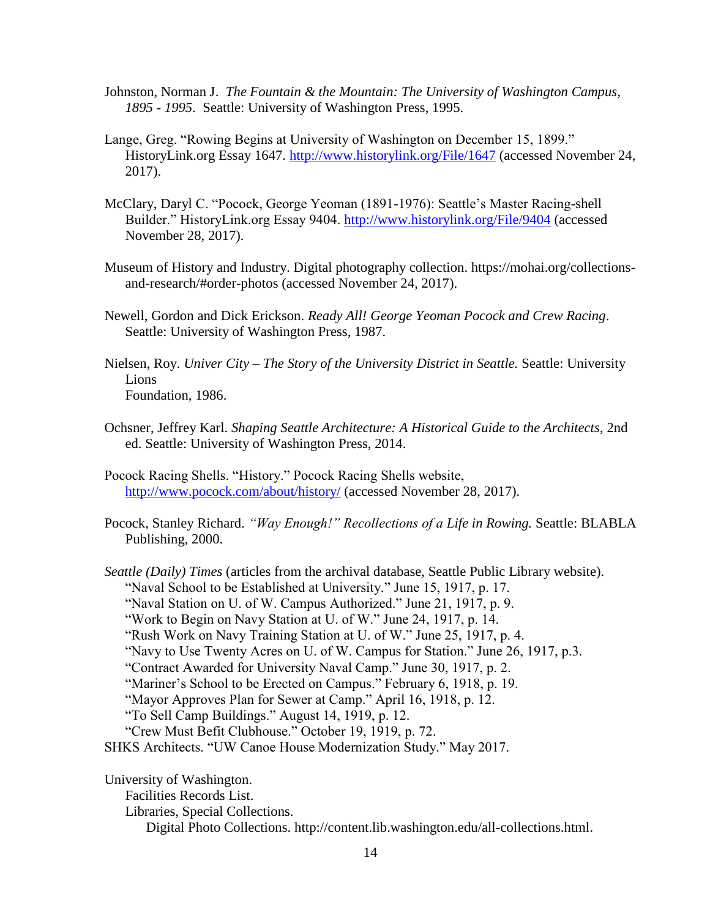- Johnston, Norman J. *The Fountain & the Mountain: The University of Washington Campus, 1895 - 1995*. Seattle: University of Washington Press, 1995.
- Lange, Greg. "Rowing Begins at University of Washington on December 15, 1899." HistoryLink.org Essay 1647.<http://www.historylink.org/File/1647> (accessed November 24, 2017).
- McClary, Daryl C. "Pocock, George Yeoman (1891-1976): Seattle's Master Racing-shell Builder." HistoryLink.org Essay 9404.<http://www.historylink.org/File/9404> (accessed November 28, 2017).
- Museum of History and Industry. Digital photography collection. https://mohai.org/collectionsand-research/#order-photos (accessed November 24, 2017).
- Newell, Gordon and Dick Erickson. *Ready All! George Yeoman Pocock and Crew Racing*. Seattle: University of Washington Press, 1987.
- Nielsen, Roy. *Univer City – The Story of the University District in Seattle.* Seattle: University **Lions** Foundation, 1986.
- Ochsner, Jeffrey Karl. *Shaping Seattle Architecture: A Historical Guide to the Architects*, 2nd ed. Seattle: University of Washington Press, 2014.
- Pocock Racing Shells. "History." Pocock Racing Shells website, <http://www.pocock.com/about/history/> (accessed November 28, 2017).
- Pocock, Stanley Richard. *"Way Enough!" Recollections of a Life in Rowing.* Seattle: BLABLA Publishing, 2000.

*Seattle (Daily) Times* (articles from the archival database, Seattle Public Library website). "Naval School to be Established at University." June 15, 1917, p. 17. "Naval Station on U. of W. Campus Authorized." June 21, 1917, p. 9. "Work to Begin on Navy Station at U. of W." June 24, 1917, p. 14. "Rush Work on Navy Training Station at U. of W." June 25, 1917, p. 4. "Navy to Use Twenty Acres on U. of W. Campus for Station." June 26, 1917, p.3. "Contract Awarded for University Naval Camp." June 30, 1917, p. 2. "Mariner's School to be Erected on Campus." February 6, 1918, p. 19. "Mayor Approves Plan for Sewer at Camp." April 16, 1918, p. 12. "To Sell Camp Buildings." August 14, 1919, p. 12. "Crew Must Befit Clubhouse." October 19, 1919, p. 72. SHKS Architects. "UW Canoe House Modernization Study." May 2017. University of Washington.

Facilities Records List. Libraries, Special Collections. Digital Photo Collections. [http://content.lib.washington.edu/all-collections.html.](http://content.lib.washington.edu/all-collections.html)